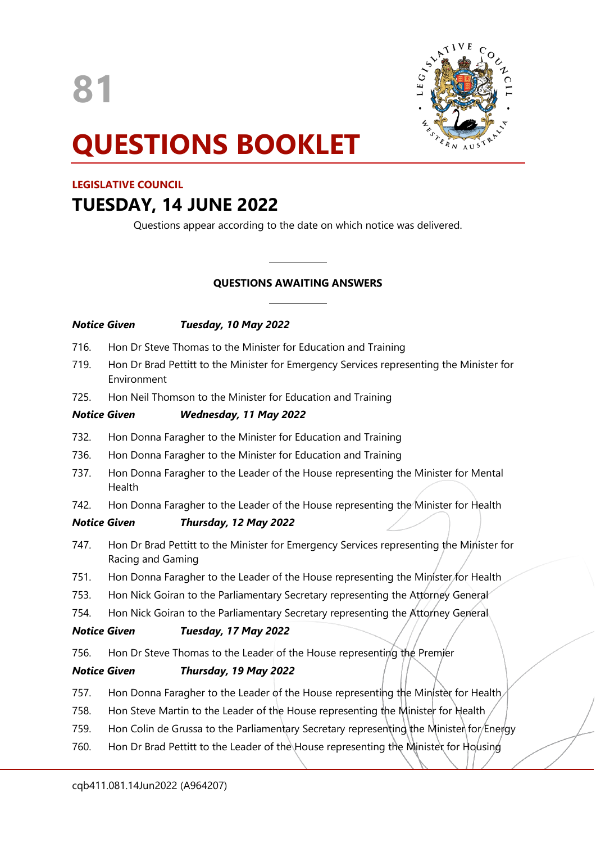



# **QUESTIONS BOOKLET**

### **LEGISLATIVE COUNCIL**

# **TUESDAY, 14 JUNE 2022**

Questions appear according to the date on which notice was delivered.

## **QUESTIONS AWAITING ANSWERS**

 $\overline{\phantom{a}}$ 

 $\overline{\phantom{a}}$ 

|      | <b>Notice Given</b>                                                                                           | <b>Tuesday, 10 May 2022</b>                                                         |
|------|---------------------------------------------------------------------------------------------------------------|-------------------------------------------------------------------------------------|
| 716. | Hon Dr Steve Thomas to the Minister for Education and Training                                                |                                                                                     |
| 719. | Hon Dr Brad Pettitt to the Minister for Emergency Services representing the Minister for<br>Environment       |                                                                                     |
| 725. | Hon Neil Thomson to the Minister for Education and Training                                                   |                                                                                     |
|      | <b>Notice Given</b>                                                                                           | Wednesday, 11 May 2022                                                              |
| 732. | Hon Donna Faragher to the Minister for Education and Training                                                 |                                                                                     |
| 736. | Hon Donna Faragher to the Minister for Education and Training                                                 |                                                                                     |
| 737. | Hon Donna Faragher to the Leader of the House representing the Minister for Mental<br>Health                  |                                                                                     |
| 742. | Hon Donna Faragher to the Leader of the House representing the Minister for Health                            |                                                                                     |
|      | <b>Notice Given</b>                                                                                           | Thursday, 12 May 2022                                                               |
| 747. | Hon Dr Brad Pettitt to the Minister for Emergency Services representing the Minister for<br>Racing and Gaming |                                                                                     |
| 751. | Hon Donna Faragher to the Leader of the House representing the Minister for Health                            |                                                                                     |
| 753. | Hon Nick Goiran to the Parliamentary Secretary representing the Attorney General                              |                                                                                     |
| 754. | Hon Nick Goiran to the Parliamentary Secretary representing the Attorney General                              |                                                                                     |
|      | <b>Notice Given</b>                                                                                           | <b>Tuesday, 17 May 2022</b>                                                         |
| 756. |                                                                                                               | Hon Dr Steve Thomas to the Leader of the House representing the Premier             |
|      | <b>Notice Given</b>                                                                                           | Thursday, 19 May 2022                                                               |
| 757. |                                                                                                               | Hon Donna Faragher to the Leader of the House representing the Minister for Health, |
| 758. | Hon Steve Martin to the Leader of the House representing the Minister for Health                              |                                                                                     |
| 759. | Hon Colin de Grussa to the Parliamentary Secretary representing the Minister for/Energy                       |                                                                                     |
| 760. | Hon Dr Brad Pettitt to the Leader of the House representing the Minister for Housing                          |                                                                                     |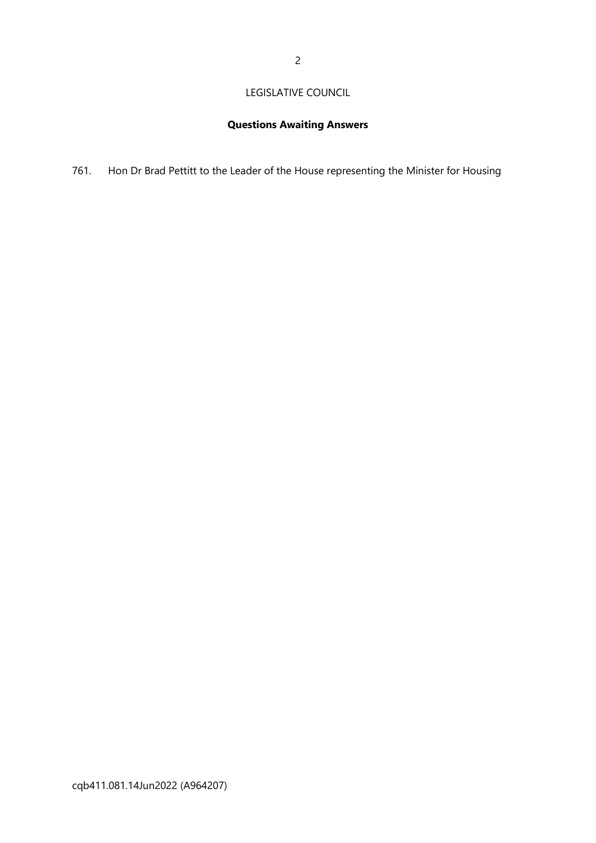# LEGISLATIVE COUNCIL

# **Questions Awaiting Answers**

761. Hon Dr Brad Pettitt to the Leader of the House representing the Minister for Housing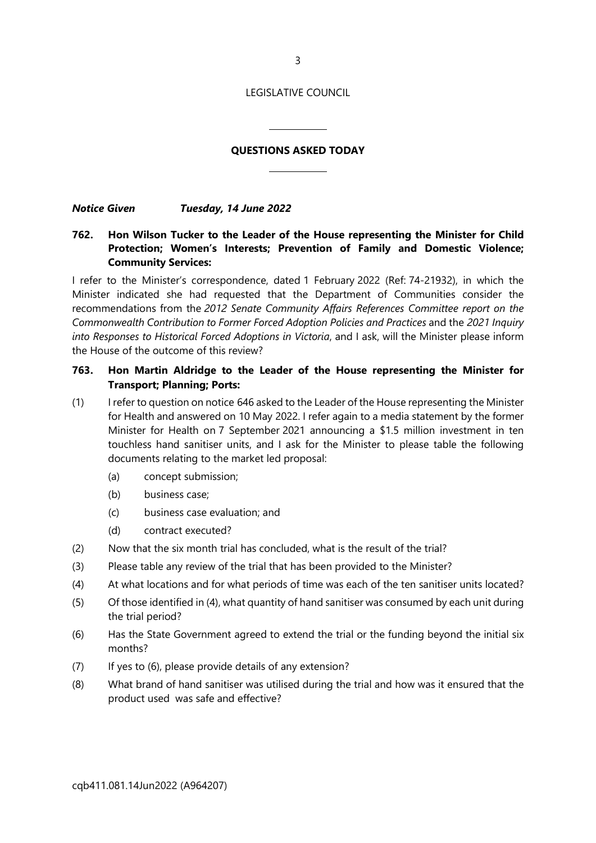LEGISLATIVE COUNCIL

#### **QUESTIONS ASKED TODAY**

 $\overline{\phantom{a}}$ 

 $\overline{\phantom{a}}$ 

*Notice Given Tuesday, 14 June 2022*

#### **762. Hon Wilson Tucker to the Leader of the House representing the Minister for Child Protection; Women's Interests; Prevention of Family and Domestic Violence; Community Services:**

I refer to the Minister's correspondence, dated 1 February 2022 (Ref: 74-21932), in which the Minister indicated she had requested that the Department of Communities consider the recommendations from the *2012 Senate Community Affairs References Committee report on the Commonwealth Contribution to Former Forced Adoption Policies and Practices* and the *2021 Inquiry into Responses to Historical Forced Adoptions in Victoria*, and I ask, will the Minister please inform the House of the outcome of this review?

#### **763. Hon Martin Aldridge to the Leader of the House representing the Minister for Transport; Planning; Ports:**

- (1) I refer to question on notice 646 asked to the Leader of the House representing the Minister for Health and answered on 10 May 2022. I refer again to a media statement by the former Minister for Health on 7 September 2021 announcing a \$1.5 million investment in ten touchless hand sanitiser units, and I ask for the Minister to please table the following documents relating to the market led proposal:
	- (a) concept submission;
	- (b) business case;
	- (c) business case evaluation; and
	- (d) contract executed?
- (2) Now that the six month trial has concluded, what is the result of the trial?
- (3) Please table any review of the trial that has been provided to the Minister?
- (4) At what locations and for what periods of time was each of the ten sanitiser units located?
- (5) Of those identified in (4), what quantity of hand sanitiser was consumed by each unit during the trial period?
- (6) Has the State Government agreed to extend the trial or the funding beyond the initial six months?
- (7) If yes to (6), please provide details of any extension?
- (8) What brand of hand sanitiser was utilised during the trial and how was it ensured that the product used was safe and effective?